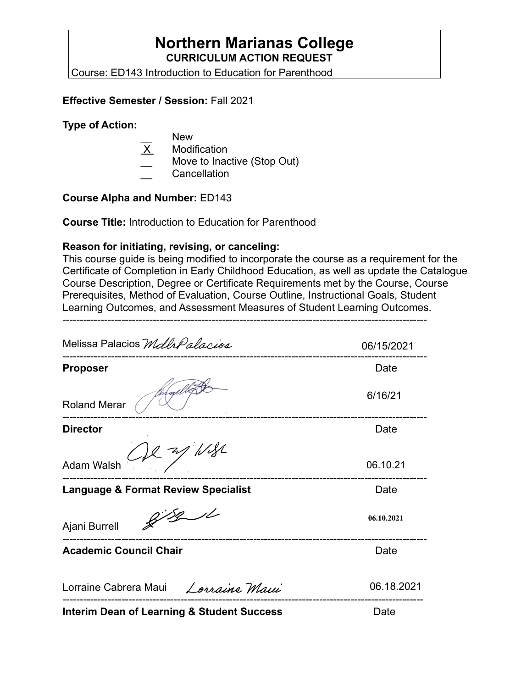## **Northern Marianas College CURRICULUM ACTION REQUEST**

Course: ED143 Introduction to Education for Parenthood

### **Effective Semester / Session:** Fall 2021

#### **Type of Action:**

- New
- X Modification
- Move to Inactive (Stop Out)
- \_\_ Cancellation

## **Course Alpha and Number:** ED143

**Course Title:** Introduction to Education for Parenthood

#### **Reason for initiating, revising, or canceling:**

This course guide is being modified to incorporate the course as a requirement for the Certificate of Completion in Early Childhood Education, as well as update the Catalogue Course Description, Degree or Certificate Requirements met by the Course, Course Prerequisites, Method of Evaluation, Course Outline, Instructional Goals, Student Learning Outcomes, and Assessment Measures of Student Learning Outcomes.

---------------------------------------------------------------------------------------------------------

| Melissa Palacios Mdlh Palacios                        | 06/15/2021 |
|-------------------------------------------------------|------------|
| <b>Proposer</b>                                       | Date       |
| <b>Roland Merar</b>                                   | 6/16/21    |
| <b>Director</b>                                       | Date       |
| $C_{1}R$ of $N_{2}R$<br><b>Adam Walsh</b>             | 06.10.21   |
| <b>Language &amp; Format Review Specialist</b>        | Date       |
| Ajani Burrell                                         | 06.10.2021 |
| <b>Academic Council Chair</b>                         | Date       |
| Lorraine Cabrera Maui Lorraine Maui                   | 06.18.2021 |
| <b>Interim Dean of Learning &amp; Student Success</b> | Date       |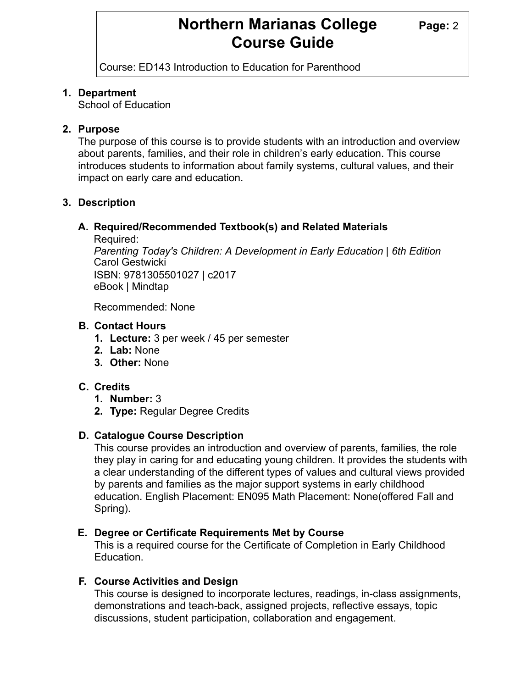## **Northern Marianas College Page: 2 Course Guide**

Course: ED143 Introduction to Education for Parenthood

#### **1. Department**

School of Education

#### **2. Purpose**

The purpose of this course is to provide students with an introduction and overview about parents, families, and their role in children's early education. This course introduces students to information about family systems, cultural values, and their impact on early care and education.

#### **3. Description**

#### **A. Required/Recommended Textbook(s) and Related Materials**

Required:

*Parenting Today's Children: A Development in Early Education | 6th Edition* Carol Gestwicki ISBN: 9781305501027 | c2017 eBook | Mindtap

Recommended: None

#### **B. Contact Hours**

- **1. Lecture:** 3 per week / 45 per semester
- **2. Lab:** None
- **3. Other:** None

#### **C. Credits**

- **1. Number:** 3
- **2. Type:** Regular Degree Credits

#### **D. Catalogue Course Description**

This course provides an introduction and overview of parents, families, the role they play in caring for and educating young children. It provides the students with a clear understanding of the different types of values and cultural views provided by parents and families as the major support systems in early childhood education. English Placement: EN095 Math Placement: None(offered Fall and Spring).

#### **E. Degree or Certificate Requirements Met by Course**

This is a required course for the Certificate of Completion in Early Childhood Education.

#### **F. Course Activities and Design**

This course is designed to incorporate lectures, readings, in-class assignments, demonstrations and teach-back, assigned projects, reflective essays, topic discussions, student participation, collaboration and engagement.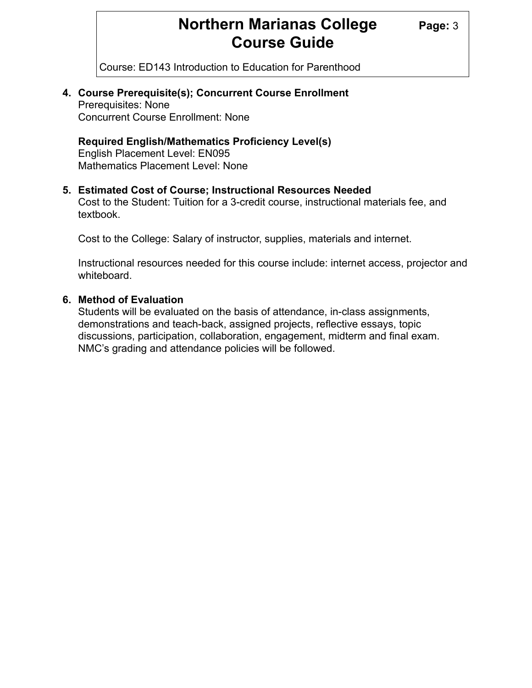## **Northern Marianas College Page: 3 Course Guide**

Course: ED143 Introduction to Education for Parenthood

### **4. Course Prerequisite(s); Concurrent Course Enrollment**  Prerequisites: None

Concurrent Course Enrollment: None

### **Required English/Mathematics Proficiency Level(s)**

 English Placement Level: EN095 Mathematics Placement Level: None

#### **5. Estimated Cost of Course; Instructional Resources Needed**

 Cost to the Student: Tuition for a 3-credit course, instructional materials fee, and textbook.

Cost to the College: Salary of instructor, supplies, materials and internet.

 Instructional resources needed for this course include: internet access, projector and whiteboard.

#### **6. Method of Evaluation**

 Students will be evaluated on the basis of attendance, in-class assignments, demonstrations and teach-back, assigned projects, reflective essays, topic discussions, participation, collaboration, engagement, midterm and final exam. NMC's grading and attendance policies will be followed.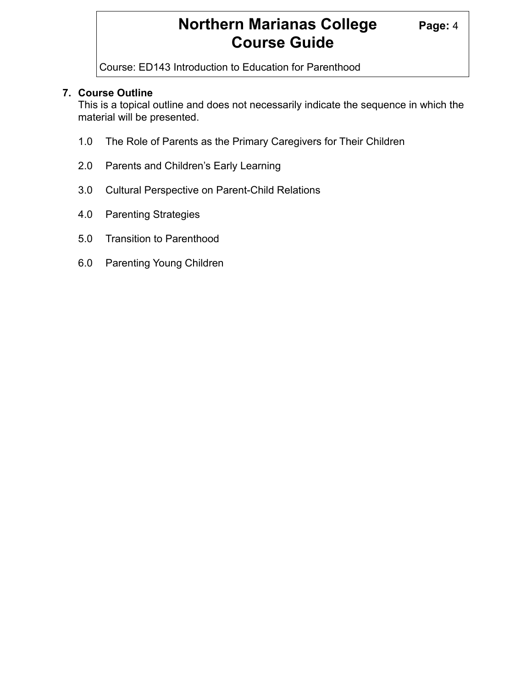## **Northern Marianas College Page: 4 Course Guide**

Course: ED143 Introduction to Education for Parenthood

### **7. Course Outline**

 This is a topical outline and does not necessarily indicate the sequence in which the material will be presented.

- 1.0 The Role of Parents as the Primary Caregivers for Their Children
- 2.0 Parents and Children's Early Learning
- 3.0 Cultural Perspective on Parent-Child Relations
- 4.0 Parenting Strategies
- 5.0 Transition to Parenthood
- 6.0 Parenting Young Children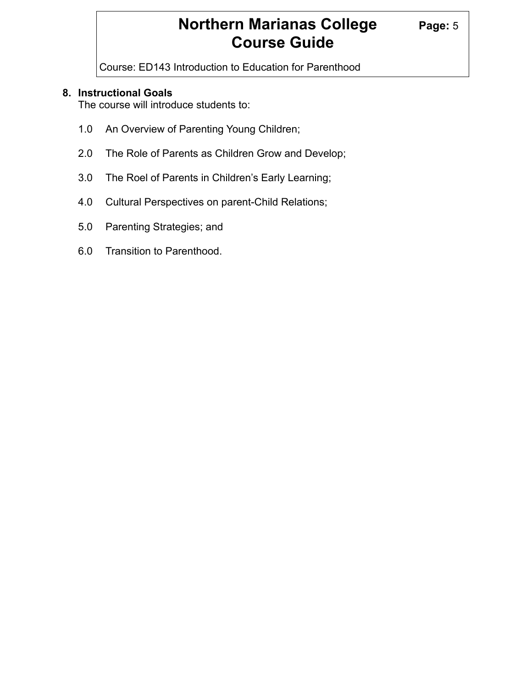# **Northern Marianas College Page: 5 Course Guide**

Course: ED143 Introduction to Education for Parenthood

## **8. Instructional Goals**

The course will introduce students to:

- 1.0 An Overview of Parenting Young Children;
- 2.0 The Role of Parents as Children Grow and Develop;
- 3.0 The Roel of Parents in Children's Early Learning;
- 4.0 Cultural Perspectives on parent-Child Relations;
- 5.0 Parenting Strategies; and
- 6.0 Transition to Parenthood.